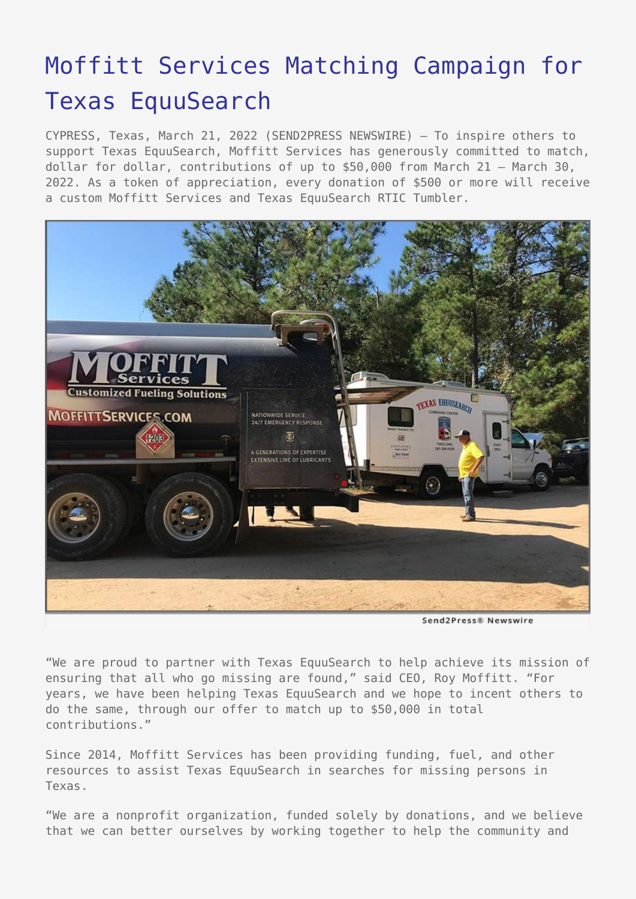## [Moffitt Services Matching Campaign for](https://www.send2press.com/wire/moffitt-services-matching-campaign-for-texas-equusearch/) [Texas EquuSearch](https://www.send2press.com/wire/moffitt-services-matching-campaign-for-texas-equusearch/)

CYPRESS, Texas, March 21, 2022 (SEND2PRESS NEWSWIRE) — To inspire others to support Texas EquuSearch, Moffitt Services has generously committed to match, dollar for dollar, contributions of up to \$50,000 from March 21 – March 30, 2022. As a token of appreciation, every donation of \$500 or more will receive a custom Moffitt Services and Texas EquuSearch RTIC Tumbler.



Send2Press® Newswire

"We are proud to partner with Texas EquuSearch to help achieve its mission of ensuring that all who go missing are found," said CEO, Roy Moffitt. "For years, we have been helping Texas EquuSearch and we hope to incent others to do the same, through our offer to match up to \$50,000 in total contributions."

Since 2014, Moffitt Services has been providing funding, fuel, and other resources to assist Texas EquuSearch in searches for missing persons in Texas.

"We are a nonprofit organization, funded solely by donations, and we believe that we can better ourselves by working together to help the community and